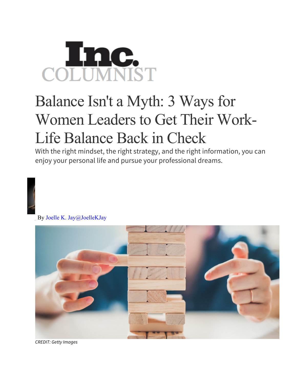## COLUMNIST

## Balance Isn't a Myth: 3 Ways for Women Leaders to Get Their Work-Life Balance Back in Check

With the right mindset, the right strategy, and the right information, you can enjoy your personal life and pursue your professional dreams.



By Joelle K. Jay@JoelleKJay



*CREDIT: Getty Images*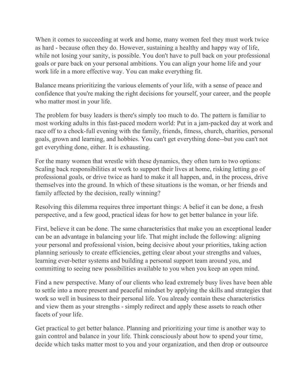When it comes to succeeding at work and home, many women feel they must work twice as hard - because often they do. However, sustaining a healthy and happy way of life, while not losing your sanity, is possible. You don't have to pull back on your professional goals or pare back on your personal ambitions. You can align your home life and your work life in a more effective way. You can make everything fit.

Balance means prioritizing the various elements of your life, with a sense of peace and confidence that you're making the right decisions for yourself, your career, and the people who matter most in your life.

The problem for busy leaders is there's simply too much to do. The pattern is familiar to most working adults in this fast-paced modern world: Put in a jam-packed day at work and race off to a chock-full evening with the family, friends, fitness, church, charities, personal goals, grown and learning, and hobbies. You can't get everything done--but you can't not get everything done, either. It is exhausting.

For the many women that wrestle with these dynamics, they often turn to two options: Scaling back responsibilities at work to support their lives at home, risking letting go of professional goals, or drive twice as hard to make it all happen, and, in the process, drive themselves into the ground. In which of these situations is the woman, or her friends and family affected by the decision, really winning?

Resolving this dilemma requires three important things: A belief it can be done, a fresh perspective, and a few good, practical ideas for how to get better balance in your life.

First, believe it can be done. The same characteristics that make you an exceptional leader can be an advantage in balancing your life. That might include the following: aligning your personal and professional vision, being decisive about your priorities, taking action planning seriously to create efficiencies, getting clear about your strengths and values, learning ever-better systems and building a personal support team around you, and committing to seeing new possibilities available to you when you keep an open mind.

Find a new perspective. Many of our clients who lead extremely busy lives have been able to settle into a more present and peaceful mindset by applying the skills and strategies that work so well in business to their personal life. You already contain these characteristics and view them as your strengths - simply redirect and apply these assets to reach other facets of your life.

Get practical to get better balance. Planning and prioritizing your time is another way to gain control and balance in your life. Think consciously about how to spend your time, decide which tasks matter most to you and your organization, and then drop or outsource